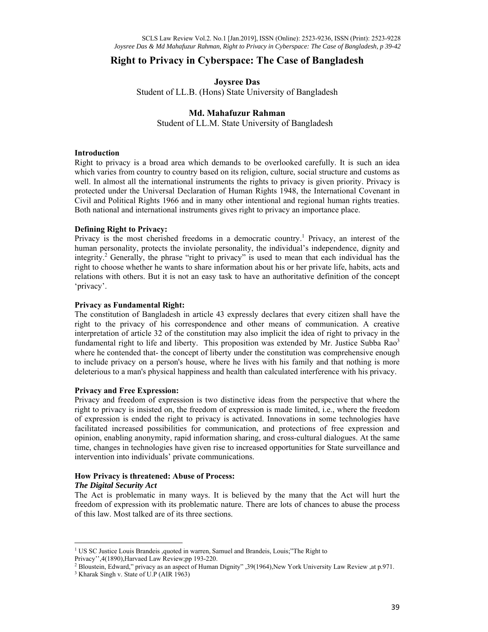# **Right to Privacy in Cyberspace: The Case of Bangladesh**

**Joysree Das**  Student of LL.B. (Hons) State University of Bangladesh

### **Md. Mahafuzur Rahman**

Student of LL.M. State University of Bangladesh

#### **Introduction**

Right to privacy is a broad area which demands to be overlooked carefully. It is such an idea which varies from country to country based on its religion, culture, social structure and customs as well. In almost all the international instruments the rights to privacy is given priority. Privacy is protected under the Universal Declaration of Human Rights 1948, the International Covenant in Civil and Political Rights 1966 and in many other intentional and regional human rights treaties. Both national and international instruments gives right to privacy an importance place.

#### **Defining Right to Privacy:**

Privacy is the most cherished freedoms in a democratic country.<sup>1</sup> Privacy, an interest of the human personality, protects the inviolate personality, the individual's independence, dignity and integrity.<sup>2</sup> Generally, the phrase "right to privacy" is used to mean that each individual has the right to choose whether he wants to share information about his or her private life, habits, acts and relations with others. But it is not an easy task to have an authoritative definition of the concept 'privacy'.

#### **Privacy as Fundamental Right:**

The constitution of Bangladesh in article 43 expressly declares that every citizen shall have the right to the privacy of his correspondence and other means of communication. A creative interpretation of article 32 of the constitution may also implicit the idea of right to privacy in the fundamental right to life and liberty. This proposition was extended by Mr. Justice Subba  $Rao<sup>3</sup>$ where he contended that- the concept of liberty under the constitution was comprehensive enough to include privacy on a person's house, where he lives with his family and that nothing is more deleterious to a man's physical happiness and health than calculated interference with his privacy.

#### **Privacy and Free Expression:**

Privacy and freedom of expression is two distinctive ideas from the perspective that where the right to privacy is insisted on, the freedom of expression is made limited, i.e., where the freedom of expression is ended the right to privacy is activated. Innovations in some technologies have facilitated increased possibilities for communication, and protections of free expression and opinion, enabling anonymity, rapid information sharing, and cross-cultural dialogues. At the same time, changes in technologies have given rise to increased opportunities for State surveillance and intervention into individuals' private communications.

#### **How Privacy is threatened: Abuse of Process:**

#### *The Digital Security Act*

The Act is problematic in many ways. It is believed by the many that the Act will hurt the freedom of expression with its problematic nature. There are lots of chances to abuse the process of this law. Most talked are of its three sections.

<sup>&</sup>lt;sup>1</sup> US SC Justice Louis Brandeis , quoted in warren, Samuel and Brandeis, Louis;"The Right to Privacy'',4(1890),Harvaed Law Review;pp 193-220.

<sup>&</sup>lt;sup>2</sup> Bloustein, Edward," privacy as an aspect of Human Dignity" ,39(1964),New York University Law Review ,at p.971.<br><sup>3</sup> Kharak Singh v, State of U.P (AIR 1963)

<sup>&</sup>lt;sup>3</sup> Kharak Singh v. State of U.P (AIR 1963)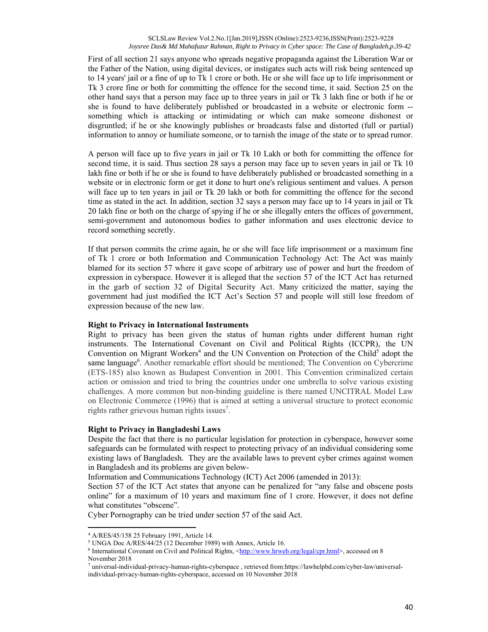First of all section 21 says anyone who spreads negative propaganda against the Liberation War or the Father of the Nation, using digital devices, or instigates such acts will risk being sentenced up to 14 years' jail or a fine of up to Tk 1 crore or both. He or she will face up to life imprisonment or Tk 3 crore fine or both for committing the offence for the second time, it said. Section 25 on the other hand says that a person may face up to three years in jail or Tk 3 lakh fine or both if he or she is found to have deliberately published or broadcasted in a website or electronic form - something which is attacking or intimidating or which can make someone dishonest or disgruntled; if he or she knowingly publishes or broadcasts false and distorted (full or partial) information to annoy or humiliate someone, or to tarnish the image of the state or to spread rumor.

A person will face up to five years in jail or Tk 10 Lakh or both for committing the offence for second time, it is said. Thus section 28 says a person may face up to seven years in jail or Tk 10 lakh fine or both if he or she is found to have deliberately published or broadcasted something in a website or in electronic form or get it done to hurt one's religious sentiment and values. A person will face up to ten years in jail or Tk 20 lakh or both for committing the offence for the second time as stated in the act. In addition, section 32 says a person may face up to 14 years in jail or Tk 20 lakh fine or both on the charge of spying if he or she illegally enters the offices of government, semi-government and autonomous bodies to gather information and uses electronic device to record something secretly.

If that person commits the crime again, he or she will face life imprisonment or a maximum fine of Tk 1 crore or both Information and Communication Technology Act: The Act was mainly blamed for its section 57 where it gave scope of arbitrary use of power and hurt the freedom of expression in cyberspace. However it is alleged that the section 57 of the ICT Act has returned in the garb of section 32 of Digital Security Act. Many criticized the matter, saying the government had just modified the ICT Act's Section 57 and people will still lose freedom of expression because of the new law.

#### **Right to Privacy in International Instruments**

Right to privacy has been given the status of human rights under different human right instruments. The International Covenant on Civil and Political Rights (ICCPR), the UN Convention on Migrant Workers<sup>4</sup> and the UN Convention on Protection of the Child<sup>5</sup> adopt the same language<sup>6</sup>. Another remarkable effort should be mentioned; The Convention on Cybercrime (ETS-185) also known as Budapest Convention in 2001. This Convention criminalized certain action or omission and tried to bring the countries under one umbrella to solve various existing challenges. A more common but non-binding guideline is there named UNCITRAL Model Law on Electronic Commerce (1996) that is aimed at setting a universal structure to protect economic rights rather grievous human rights issues<sup>7</sup>.

#### **Right to Privacy in Bangladeshi Laws**

Despite the fact that there is no particular legislation for protection in cyberspace, however some safeguards can be formulated with respect to protecting privacy of an individual considering some existing laws of Bangladesh. They are the available laws to prevent cyber crimes against women in Bangladesh and its problems are given below-

Information and Communications Technology (ICT) Act 2006 (amended in 2013):

Section 57 of the ICT Act states that anyone can be penalized for "any false and obscene posts online" for a maximum of 10 years and maximum fine of 1 crore. However, it does not define what constitutes "obscene".

Cyber Pornography can be tried under section 57 of the said Act.

<sup>4</sup> A/RES/45/158 25 February 1991, Article 14.

<sup>&</sup>lt;sup>5</sup> UNGA Doc A/RES/44/25 (12 December 1989) with Annex, Article 16.<br><sup>6</sup> International Covenant on Civil and Political Rights <http://www.hrwel

 $\delta$  International Covenant on Civil and Political Rights,  $\delta$ ttp://www.hrweb.org/legal/cpr.html>, accessed on 8 November 2018

<sup>7</sup> universal-individual-privacy-human-rights-cyberspace , retrieved from:https://lawhelpbd.com/cyber-law/universalindividual-privacy-human-rights-cyberspace, accessed on 10 November 2018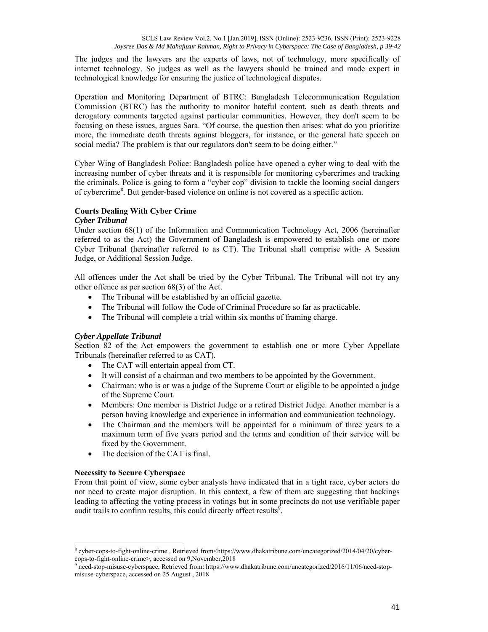The judges and the lawyers are the experts of laws, not of technology, more specifically of internet technology. So judges as well as the lawyers should be trained and made expert in technological knowledge for ensuring the justice of technological disputes.

Operation and Monitoring Department of BTRC: Bangladesh Telecommunication Regulation Commission (BTRC) has the authority to monitor hateful content, such as death threats and derogatory comments targeted against particular communities. However, they don't seem to be focusing on these issues, argues Sara. "Of course, the question then arises: what do you prioritize more, the immediate death threats against bloggers, for instance, or the general hate speech on social media? The problem is that our regulators don't seem to be doing either."

Cyber Wing of Bangladesh Police: Bangladesh police have opened a cyber wing to deal with the increasing number of cyber threats and it is responsible for monitoring cybercrimes and tracking the criminals. Police is going to form a "cyber cop" division to tackle the looming social dangers of cybercrime<sup>8</sup>. But gender-based violence on online is not covered as a specific action.

## **Courts Dealing With Cyber Crime**

#### *Cyber Tribunal*

Under section 68(1) of the Information and Communication Technology Act, 2006 (hereinafter referred to as the Act) the Government of Bangladesh is empowered to establish one or more Cyber Tribunal (hereinafter referred to as CT). The Tribunal shall comprise with- A Session Judge, or Additional Session Judge.

All offences under the Act shall be tried by the Cyber Tribunal. The Tribunal will not try any other offence as per section 68(3) of the Act.

- The Tribunal will be established by an official gazette.
- The Tribunal will follow the Code of Criminal Procedure so far as practicable.
- The Tribunal will complete a trial within six months of framing charge.

#### *Cyber Appellate Tribunal*

Section 82 of the Act empowers the government to establish one or more Cyber Appellate Tribunals (hereinafter referred to as CAT).

- The CAT will entertain appeal from CT.
- It will consist of a chairman and two members to be appointed by the Government.
- Chairman: who is or was a judge of the Supreme Court or eligible to be appointed a judge of the Supreme Court.
- Members: One member is District Judge or a retired District Judge. Another member is a person having knowledge and experience in information and communication technology.
- The Chairman and the members will be appointed for a minimum of three years to a maximum term of five years period and the terms and condition of their service will be fixed by the Government.
- The decision of the CAT is final.

#### **Necessity to Secure Cyberspace**

From that point of view, some cyber analysts have indicated that in a tight race, cyber actors do not need to create major disruption. In this context, a few of them are suggesting that hackings leading to affecting the voting process in votings but in some precincts do not use verifiable paper audit trails to confirm results, this could directly affect results $9$ .

<sup>8</sup> cyber-cops-to-fight-online-crime, Retrieved from<https://www.dhakatribune.com/uncategorized/2014/04/20/cybercops-to-fight-online-crime>, accessed on 9,November,2018

<sup>&</sup>lt;sup>9</sup> need-stop-misuse-cyberspace, Retrieved from: https://www.dhakatribune.com/uncategorized/2016/11/06/need-stopmisuse-cyberspace, accessed on 25 August , 2018